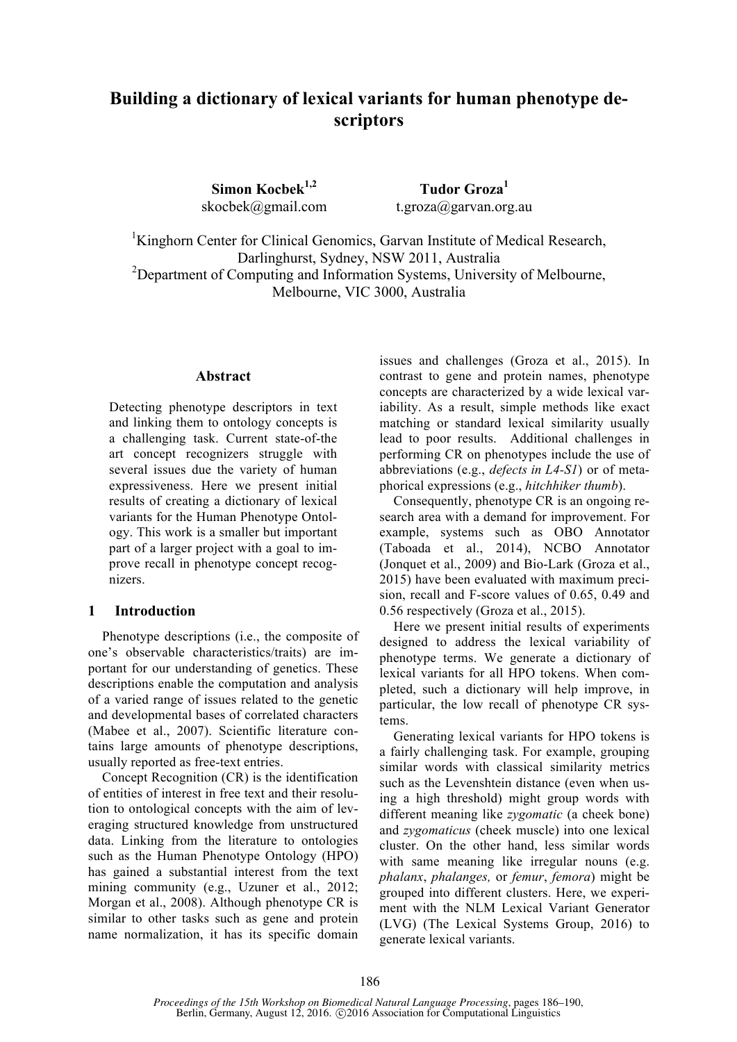# **Building a dictionary of lexical variants for human phenotype descriptors**

**Simon Kocbek1,2**  skocbek@gmail.com

**Tudor Groza<sup>1</sup>** t.groza@garvan.org.au

<sup>1</sup>Kinghorn Center for Clinical Genomics, Garvan Institute of Medical Research, Darlinghurst, Sydney, NSW 2011, Australia <sup>2</sup>Department of Computing and Information Systems, University of Melbourne, Melbourne, VIC 3000, Australia

#### **Abstract**

Detecting phenotype descriptors in text and linking them to ontology concepts is a challenging task. Current state-of-the art concept recognizers struggle with several issues due the variety of human expressiveness. Here we present initial results of creating a dictionary of lexical variants for the Human Phenotype Ontology. This work is a smaller but important part of a larger project with a goal to improve recall in phenotype concept recognizers.

### **1 Introduction**

Phenotype descriptions (i.e., the composite of one's observable characteristics/traits) are important for our understanding of genetics. These descriptions enable the computation and analysis of a varied range of issues related to the genetic and developmental bases of correlated characters (Mabee et al., 2007). Scientific literature contains large amounts of phenotype descriptions, usually reported as free-text entries.

Concept Recognition (CR) is the identification of entities of interest in free text and their resolution to ontological concepts with the aim of leveraging structured knowledge from unstructured data. Linking from the literature to ontologies such as the Human Phenotype Ontology (HPO) has gained a substantial interest from the text mining community (e.g., Uzuner et al., 2012; Morgan et al., 2008). Although phenotype CR is similar to other tasks such as gene and protein name normalization, it has its specific domain

issues and challenges (Groza et al., 2015). In contrast to gene and protein names, phenotype concepts are characterized by a wide lexical variability. As a result, simple methods like exact matching or standard lexical similarity usually lead to poor results. Additional challenges in performing CR on phenotypes include the use of abbreviations (e.g., *defects in L4-S1*) or of metaphorical expressions (e.g., *hitchhiker thumb*).

Consequently, phenotype CR is an ongoing research area with a demand for improvement. For example, systems such as OBO Annotator (Taboada et al., 2014), NCBO Annotator (Jonquet et al., 2009) and Bio-Lark (Groza et al., 2015) have been evaluated with maximum precision, recall and F-score values of 0.65, 0.49 and 0.56 respectively (Groza et al., 2015).

Here we present initial results of experiments designed to address the lexical variability of phenotype terms. We generate a dictionary of lexical variants for all HPO tokens. When completed, such a dictionary will help improve, in particular, the low recall of phenotype CR systems.

Generating lexical variants for HPO tokens is a fairly challenging task. For example, grouping similar words with classical similarity metrics such as the Levenshtein distance (even when using a high threshold) might group words with different meaning like *zygomatic* (a cheek bone) and *zygomaticus* (cheek muscle) into one lexical cluster. On the other hand, less similar words with same meaning like irregular nouns (e.g. *phalanx*, *phalanges,* or *femur*, *femora*) might be grouped into different clusters. Here, we experiment with the NLM Lexical Variant Generator (LVG) (The Lexical Systems Group, 2016) to generate lexical variants.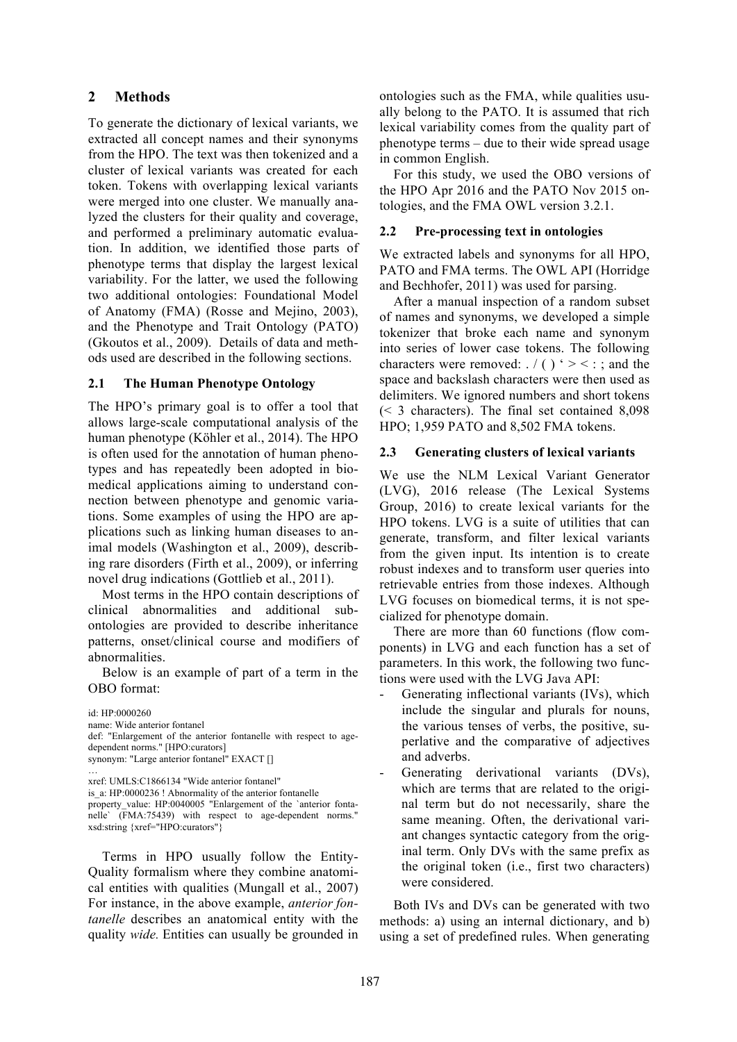# **2 Methods**

To generate the dictionary of lexical variants, we extracted all concept names and their synonyms from the HPO. The text was then tokenized and a cluster of lexical variants was created for each token. Tokens with overlapping lexical variants were merged into one cluster. We manually analyzed the clusters for their quality and coverage, and performed a preliminary automatic evaluation. In addition, we identified those parts of phenotype terms that display the largest lexical variability. For the latter, we used the following two additional ontologies: Foundational Model of Anatomy (FMA) (Rosse and Mejino, 2003), and the Phenotype and Trait Ontology (PATO) (Gkoutos et al., 2009). Details of data and methods used are described in the following sections.

## **2.1 The Human Phenotype Ontology**

The HPO's primary goal is to offer a tool that allows large-scale computational analysis of the human phenotype (Köhler et al., 2014). The HPO is often used for the annotation of human phenotypes and has repeatedly been adopted in biomedical applications aiming to understand connection between phenotype and genomic variations. Some examples of using the HPO are applications such as linking human diseases to animal models (Washington et al., 2009), describing rare disorders (Firth et al., 2009), or inferring novel drug indications (Gottlieb et al., 2011).

Most terms in the HPO contain descriptions of clinical abnormalities and additional subontologies are provided to describe inheritance patterns, onset/clinical course and modifiers of abnormalities.

Below is an example of part of a term in the OBO format:

id: HP:0000260

name: Wide anterior fontanel

def: "Enlargement of the anterior fontanelle with respect to agedependent norms." [HPO:curators]

synonym: "Large anterior fontanel" EXACT [] …

```
xref: UMLS:C1866134 "Wide anterior fontanel"
```
is a: HP:0000236 ! Abnormality of the anterior fontanelle

property\_value: HP:0040005 "Enlargement of the `anterior fontanelle` (FMA:75439) with respect to age-dependent norms." xsd:string {xref="HPO:curators"}

Terms in HPO usually follow the Entity-Quality formalism where they combine anatomical entities with qualities (Mungall et al., 2007) For instance, in the above example, *anterior fontanelle* describes an anatomical entity with the quality *wide.* Entities can usually be grounded in

ontologies such as the FMA, while qualities usually belong to the PATO. It is assumed that rich lexical variability comes from the quality part of phenotype terms – due to their wide spread usage in common English.

For this study, we used the OBO versions of the HPO Apr 2016 and the PATO Nov 2015 ontologies, and the FMA OWL version 3.2.1.

#### **2.2 Pre-processing text in ontologies**

We extracted labels and synonyms for all HPO, PATO and FMA terms. The OWL API (Horridge and Bechhofer, 2011) was used for parsing.

After a manual inspection of a random subset of names and synonyms, we developed a simple tokenizer that broke each name and synonym into series of lower case tokens. The following characters were removed:  $/( )$   $\leq$   $\leq$  ; and the space and backslash characters were then used as delimiters. We ignored numbers and short tokens (< 3 characters). The final set contained 8,098 HPO; 1,959 PATO and 8,502 FMA tokens.

#### **2.3 Generating clusters of lexical variants**

We use the NLM Lexical Variant Generator (LVG), 2016 release (The Lexical Systems Group, 2016) to create lexical variants for the HPO tokens. LVG is a suite of utilities that can generate, transform, and filter lexical variants from the given input. Its intention is to create robust indexes and to transform user queries into retrievable entries from those indexes. Although LVG focuses on biomedical terms, it is not specialized for phenotype domain.

There are more than 60 functions (flow components) in LVG and each function has a set of parameters. In this work, the following two functions were used with the LVG Java API:

- Generating inflectional variants (IVs), which include the singular and plurals for nouns, the various tenses of verbs, the positive, superlative and the comparative of adjectives and adverbs.
- Generating derivational variants (DVs), which are terms that are related to the original term but do not necessarily, share the same meaning. Often, the derivational variant changes syntactic category from the original term. Only DVs with the same prefix as the original token (i.e., first two characters) were considered.

Both IVs and DVs can be generated with two methods: a) using an internal dictionary, and b) using a set of predefined rules. When generating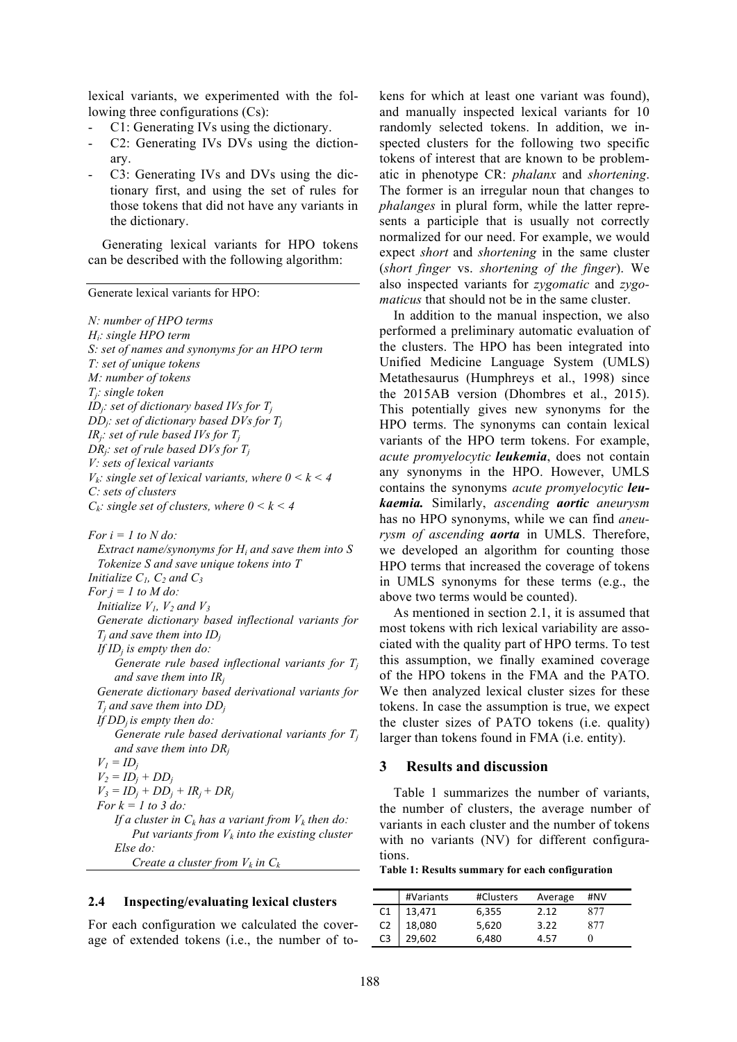lexical variants, we experimented with the following three configurations (Cs):

- C1: Generating IVs using the dictionary.
- C2: Generating IVs DVs using the dictionary.
- C3: Generating IVs and DVs using the dictionary first, and using the set of rules for those tokens that did not have any variants in the dictionary.

Generating lexical variants for HPO tokens can be described with the following algorithm:

Generate lexical variants for HPO:

*N: number of HPO terms Hi: single HPO term S: set of names and synonyms for an HPO term T: set of unique tokens M: number of tokens Tj: single token*  $ID_i$ : set of *dictionary based IVs* for  $T_i$ *DDj: set of dictionary based DVs for Tj IRj: set of rule based IVs for Tj DRj: set of rule based DVs for Tj V: sets of lexical variants*  $V_k$ : single set of lexical variants, where  $0 \le k \le 4$ *C: sets of clusters Ck: single set of clusters, where 0 < k < 4*

*For i = 1 to N do:*

 *Extract name/synonyms for Hi and save them into S Tokenize S and save unique tokens into T Initialize*  $C_1$ ,  $C_2$  *and*  $C_3$ *For j = 1 to M do: Initialize*  $V_1$ *,*  $V_2$  *and*  $V_3$ *Generate dictionary based inflectional variants for*   $T_i$  *and save them into*  $ID_i$  *If IDj is empty then do: Generate rule based inflectional variants for Tj and save them into IRj Generate dictionary based derivational variants for*   $T_i$  *and save them into*  $DD_i$ *If DDj is empty then do: Generate rule based derivational variants for Tj and save them into DRj*  $V_I = ID_i$  $V_2 = ID_i + DD_i$  $V_3 = ID_i + DD_i + IR_i + DR_i$ *For k = 1 to 3 do: If a cluster in*  $C_k$  *has a variant from*  $V_k$  *then do: Put variants from*  $V_k$  *into the existing cluster Else do:*

*Create a cluster from*  $V_k$  *in C<sub>k</sub>* 

#### **2.4 Inspecting/evaluating lexical clusters**

For each configuration we calculated the coverage of extended tokens (i.e., the number of to-

kens for which at least one variant was found), and manually inspected lexical variants for 10 randomly selected tokens. In addition, we inspected clusters for the following two specific tokens of interest that are known to be problematic in phenotype CR: *phalanx* and *shortening*. The former is an irregular noun that changes to *phalanges* in plural form, while the latter represents a participle that is usually not correctly normalized for our need. For example, we would expect *short* and *shortening* in the same cluster (*short finger* vs. *shortening of the finger*). We also inspected variants for *zygomatic* and *zygomaticus* that should not be in the same cluster.

In addition to the manual inspection, we also performed a preliminary automatic evaluation of the clusters. The HPO has been integrated into Unified Medicine Language System (UMLS) Metathesaurus (Humphreys et al., 1998) since the 2015AB version (Dhombres et al., 2015). This potentially gives new synonyms for the HPO terms. The synonyms can contain lexical variants of the HPO term tokens. For example, *acute promyelocytic leukemia*, does not contain any synonyms in the HPO. However, UMLS contains the synonyms *acute promyelocytic leukaemia.* Similarly, *ascending aortic aneurysm* has no HPO synonyms, while we can find *aneurysm of ascending aorta* in UMLS. Therefore, we developed an algorithm for counting those HPO terms that increased the coverage of tokens in UMLS synonyms for these terms (e.g., the above two terms would be counted).

As mentioned in section 2.1, it is assumed that most tokens with rich lexical variability are associated with the quality part of HPO terms. To test this assumption, we finally examined coverage of the HPO tokens in the FMA and the PATO. We then analyzed lexical cluster sizes for these tokens. In case the assumption is true, we expect the cluster sizes of PATO tokens (i.e. quality) larger than tokens found in FMA (i.e. entity).

#### **3 Results and discussion**

Table 1 summarizes the number of variants, the number of clusters, the average number of variants in each cluster and the number of tokens with no variants (NV) for different configurations.

**Table 1: Results summary for each configuration**

|                                                                    | #Variants                  | #Clusters | Average | #NV |
|--------------------------------------------------------------------|----------------------------|-----------|---------|-----|
| $\begin{array}{c} \text{C1} \\ \text{C2} \\ \text{C3} \end{array}$ |                            | 6,355     | 2.12    | 877 |
|                                                                    | 13,471<br>18,080<br>29,602 | 5,620     | 3.22    | 877 |
|                                                                    |                            | 6,480     | 4.57    |     |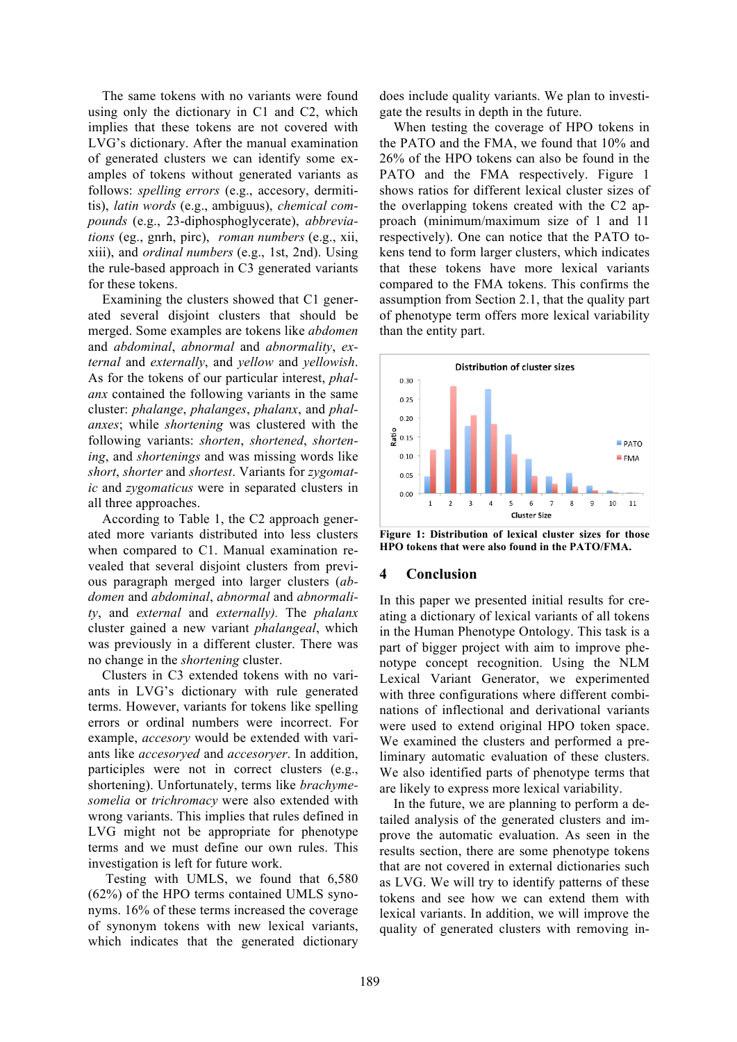The same tokens with no variants were found using only the dictionary in C1 and C2, which implies that these tokens are not covered with LVG's dictionary. After the manual examination of generated clusters we can identify some examples of tokens without generated variants as follows: *spelling errors* (e.g., accesory, dermititis), *latin words* (e.g., ambiguus), *chemical compounds* (e.g., 23-diphosphoglycerate), *abbreviations* (eg., gnrh, pirc), *roman numbers* (e.g., xii, xiii), and *ordinal numbers* (e.g., 1st, 2nd). Using the rule-based approach in C3 generated variants for these tokens.

Examining the clusters showed that C1 generated several disjoint clusters that should be merged. Some examples are tokens like *abdomen* and *abdominal*, *abnormal* and *abnormality*, *external* and *externally*, and *yellow* and *yellowish*. As for the tokens of our particular interest, *phalanx* contained the following variants in the same cluster: *phalange*, *phalanges*, *phalanx*, and *phalanxes*; while *shortening* was clustered with the following variants: *shorten*, *shortened*, *shortening*, and *shortenings* and was missing words like *short*, *shorter* and *shortest*. Variants for *zygomatic* and *zygomaticus* were in separated clusters in all three approaches.

According to Table 1, the C2 approach generated more variants distributed into less clusters when compared to C1. Manual examination revealed that several disjoint clusters from previous paragraph merged into larger clusters (*abdomen* and *abdominal*, *abnormal* and *abnormality*, and *external* and *externally).* The *phalanx* cluster gained a new variant *phalangeal*, which was previously in a different cluster. There was no change in the *shortening* cluster.

Clusters in C3 extended tokens with no variants in LVG's dictionary with rule generated terms. However, variants for tokens like spelling errors or ordinal numbers were incorrect. For example, *accesory* would be extended with variants like *accesoryed* and *accesoryer*. In addition, participles were not in correct clusters (e.g., shortening). Unfortunately, terms like *brachymesomelia* or *trichromacy* were also extended with wrong variants. This implies that rules defined in LVG might not be appropriate for phenotype terms and we must define our own rules. This investigation is left for future work.

Testing with UMLS, we found that 6,580 (62%) of the HPO terms contained UMLS synonyms. 16% of these terms increased the coverage of synonym tokens with new lexical variants, which indicates that the generated dictionary

does include quality variants. We plan to investigate the results in depth in the future.

When testing the coverage of HPO tokens in the PATO and the FMA, we found that 10% and 26% of the HPO tokens can also be found in the PATO and the FMA respectively. Figure 1 shows ratios for different lexical cluster sizes of the overlapping tokens created with the C2 approach (minimum/maximum size of 1 and 11 respectively). One can notice that the PATO tokens tend to form larger clusters, which indicates that these tokens have more lexical variants compared to the FMA tokens. This confirms the assumption from Section 2.1, that the quality part of phenotype term offers more lexical variability than the entity part.



**Figure 1: Distribution of lexical cluster sizes for those HPO tokens that were also found in the PATO/FMA.** 

# **4 Conclusion**

In this paper we presented initial results for creating a dictionary of lexical variants of all tokens in the Human Phenotype Ontology. This task is a part of bigger project with aim to improve phenotype concept recognition. Using the NLM Lexical Variant Generator, we experimented with three configurations where different combinations of inflectional and derivational variants were used to extend original HPO token space. We examined the clusters and performed a preliminary automatic evaluation of these clusters. We also identified parts of phenotype terms that are likely to express more lexical variability.

In the future, we are planning to perform a detailed analysis of the generated clusters and improve the automatic evaluation. As seen in the results section, there are some phenotype tokens that are not covered in external dictionaries such as LVG. We will try to identify patterns of these tokens and see how we can extend them with lexical variants. In addition, we will improve the quality of generated clusters with removing in